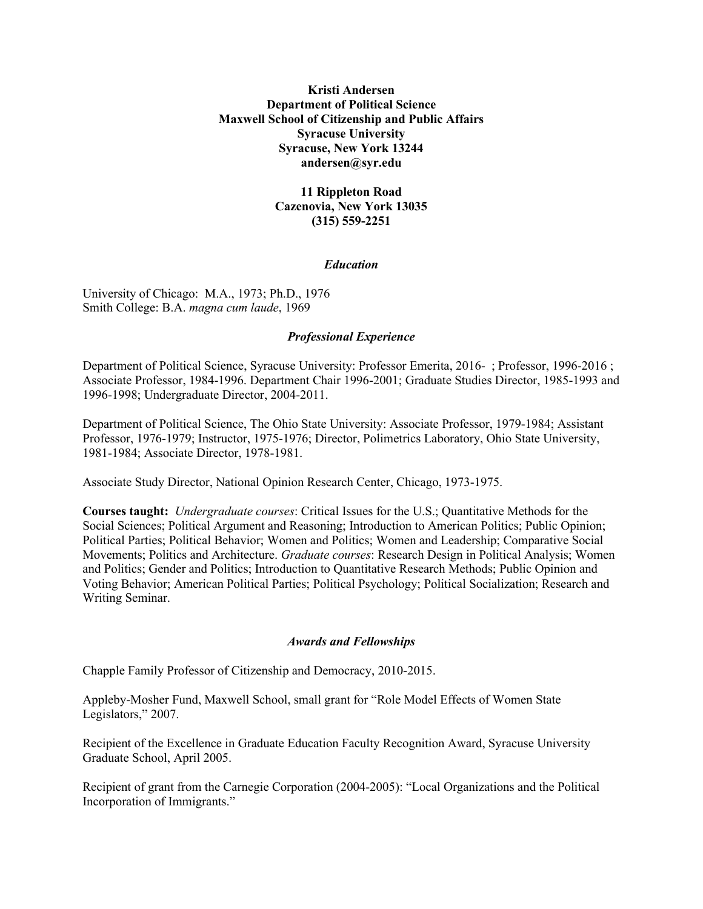## **Kristi Andersen Department of Political Science Maxwell School of Citizenship and Public Affairs Syracuse University Syracuse, New York 13244 andersen@syr.edu**

# **11 Rippleton Road Cazenovia, New York 13035 (315) 559-2251**

### *Education*

University of Chicago: M.A., 1973; Ph.D., 1976 Smith College: B.A. *magna cum laude*, 1969

### *Professional Experience*

Department of Political Science, Syracuse University: Professor Emerita, 2016- ; Professor, 1996-2016 ; Associate Professor, 1984-1996. Department Chair 1996-2001; Graduate Studies Director, 1985-1993 and 1996-1998; Undergraduate Director, 2004-2011.

Department of Political Science, The Ohio State University: Associate Professor, 1979-1984; Assistant Professor, 1976-1979; Instructor, 1975-1976; Director, Polimetrics Laboratory, Ohio State University, 1981-1984; Associate Director, 1978-1981.

Associate Study Director, National Opinion Research Center, Chicago, 1973-1975.

**Courses taught:** *Undergraduate courses*: Critical Issues for the U.S.; Quantitative Methods for the Social Sciences; Political Argument and Reasoning; Introduction to American Politics; Public Opinion; Political Parties; Political Behavior; Women and Politics; Women and Leadership; Comparative Social Movements; Politics and Architecture. *Graduate courses*: Research Design in Political Analysis; Women and Politics; Gender and Politics; Introduction to Quantitative Research Methods; Public Opinion and Voting Behavior; American Political Parties; Political Psychology; Political Socialization; Research and Writing Seminar.

#### *Awards and Fellowships*

Chapple Family Professor of Citizenship and Democracy, 2010-2015.

Appleby-Mosher Fund, Maxwell School, small grant for "Role Model Effects of Women State Legislators," 2007.

Recipient of the Excellence in Graduate Education Faculty Recognition Award, Syracuse University Graduate School, April 2005.

Recipient of grant from the Carnegie Corporation (2004-2005): "Local Organizations and the Political Incorporation of Immigrants."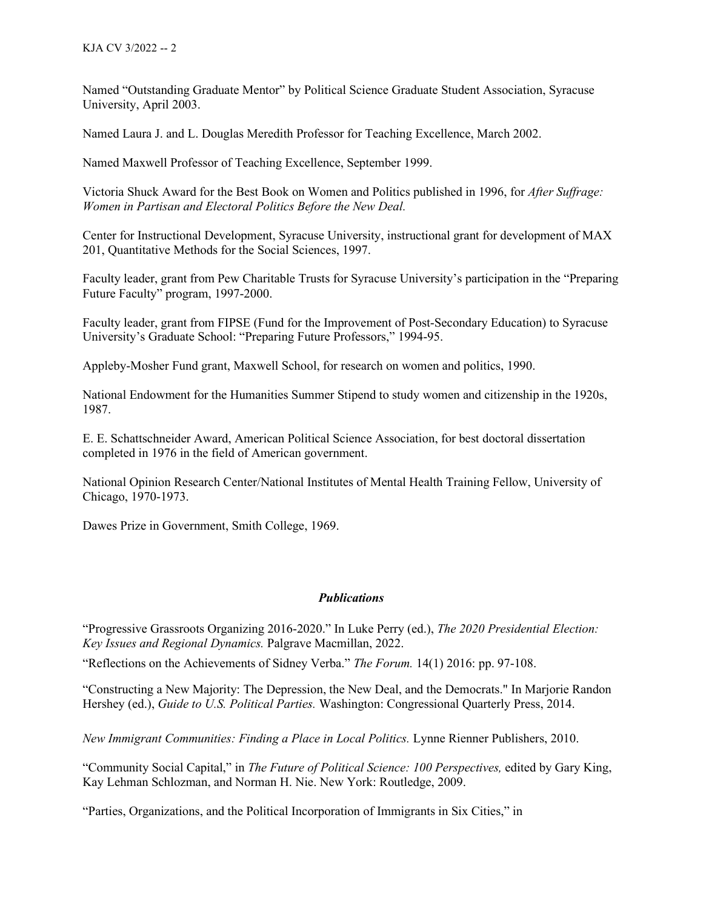Named "Outstanding Graduate Mentor" by Political Science Graduate Student Association, Syracuse University, April 2003.

Named Laura J. and L. Douglas Meredith Professor for Teaching Excellence, March 2002.

Named Maxwell Professor of Teaching Excellence, September 1999.

Victoria Shuck Award for the Best Book on Women and Politics published in 1996, for *After Suffrage: Women in Partisan and Electoral Politics Before the New Deal.*

Center for Instructional Development, Syracuse University, instructional grant for development of MAX 201, Quantitative Methods for the Social Sciences, 1997.

Faculty leader, grant from Pew Charitable Trusts for Syracuse University's participation in the "Preparing Future Faculty" program, 1997-2000.

Faculty leader, grant from FIPSE (Fund for the Improvement of Post-Secondary Education) to Syracuse University's Graduate School: "Preparing Future Professors," 1994-95.

Appleby-Mosher Fund grant, Maxwell School, for research on women and politics, 1990.

National Endowment for the Humanities Summer Stipend to study women and citizenship in the 1920s, 1987.

E. E. Schattschneider Award, American Political Science Association, for best doctoral dissertation completed in 1976 in the field of American government.

National Opinion Research Center/National Institutes of Mental Health Training Fellow, University of Chicago, 1970-1973.

Dawes Prize in Government, Smith College, 1969.

#### *Publications*

"Progressive Grassroots Organizing 2016-2020." In Luke Perry (ed.), *The 2020 Presidential Election: Key Issues and Regional Dynamics.* Palgrave Macmillan, 2022.

"Reflections on the Achievements of Sidney Verba." *The Forum.* 14(1) 2016: pp. 97-108.

"Constructing a New Majority: The Depression, the New Deal, and the Democrats." In Marjorie Randon Hershey (ed.), *Guide to U.S. Political Parties.* Washington: Congressional Quarterly Press, 2014.

*New Immigrant Communities: Finding a Place in Local Politics.* Lynne Rienner Publishers, 2010.

"Community Social Capital," in *The Future of Political Science: 100 Perspectives,* edited by Gary King, Kay Lehman Schlozman, and Norman H. Nie. New York: Routledge, 2009.

"Parties, Organizations, and the Political Incorporation of Immigrants in Six Cities," in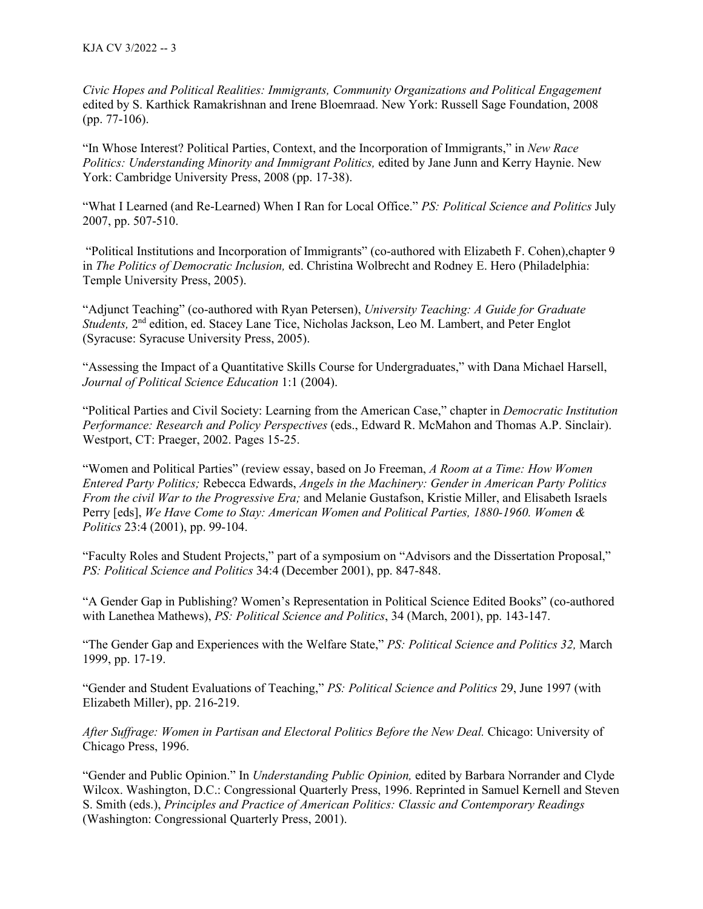*Civic Hopes and Political Realities: Immigrants, Community Organizations and Political Engagement* edited by S. Karthick Ramakrishnan and Irene Bloemraad. New York: Russell Sage Foundation, 2008 (pp. 77-106).

"In Whose Interest? Political Parties, Context, and the Incorporation of Immigrants," in *New Race Politics: Understanding Minority and Immigrant Politics,* edited by Jane Junn and Kerry Haynie. New York: Cambridge University Press, 2008 (pp. 17-38).

"What I Learned (and Re-Learned) When I Ran for Local Office." *PS: Political Science and Politics* July 2007, pp. 507-510.

"Political Institutions and Incorporation of Immigrants" (co-authored with Elizabeth F. Cohen),chapter 9 in *The Politics of Democratic Inclusion,* ed. Christina Wolbrecht and Rodney E. Hero (Philadelphia: Temple University Press, 2005).

"Adjunct Teaching" (co-authored with Ryan Petersen), *University Teaching: A Guide for Graduate Students,* 2nd edition, ed. Stacey Lane Tice, Nicholas Jackson, Leo M. Lambert, and Peter Englot (Syracuse: Syracuse University Press, 2005).

"Assessing the Impact of a Quantitative Skills Course for Undergraduates," with Dana Michael Harsell, *Journal of Political Science Education* 1:1 (2004).

"Political Parties and Civil Society: Learning from the American Case," chapter in *Democratic Institution Performance: Research and Policy Perspectives* (eds., Edward R. McMahon and Thomas A.P. Sinclair). Westport, CT: Praeger, 2002. Pages 15-25.

"Women and Political Parties" (review essay, based on Jo Freeman, *A Room at a Time: How Women Entered Party Politics;* Rebecca Edwards, *Angels in the Machinery: Gender in American Party Politics From the civil War to the Progressive Era;* and Melanie Gustafson, Kristie Miller, and Elisabeth Israels Perry [eds], *We Have Come to Stay: American Women and Political Parties, 1880-1960. Women & Politics* 23:4 (2001), pp. 99-104.

"Faculty Roles and Student Projects," part of a symposium on "Advisors and the Dissertation Proposal," *PS: Political Science and Politics* 34:4 (December 2001), pp. 847-848.

"A Gender Gap in Publishing? Women's Representation in Political Science Edited Books" (co-authored with Lanethea Mathews), *PS: Political Science and Politics*, 34 (March, 2001), pp. 143-147.

"The Gender Gap and Experiences with the Welfare State," *PS: Political Science and Politics 32,* March 1999, pp. 17-19.

"Gender and Student Evaluations of Teaching," *PS: Political Science and Politics* 29, June 1997 (with Elizabeth Miller), pp. 216-219.

*After Suffrage: Women in Partisan and Electoral Politics Before the New Deal.* Chicago: University of Chicago Press, 1996.

"Gender and Public Opinion." In *Understanding Public Opinion,* edited by Barbara Norrander and Clyde Wilcox. Washington, D.C.: Congressional Quarterly Press, 1996. Reprinted in Samuel Kernell and Steven S. Smith (eds.), *Principles and Practice of American Politics: Classic and Contemporary Readings* (Washington: Congressional Quarterly Press, 2001).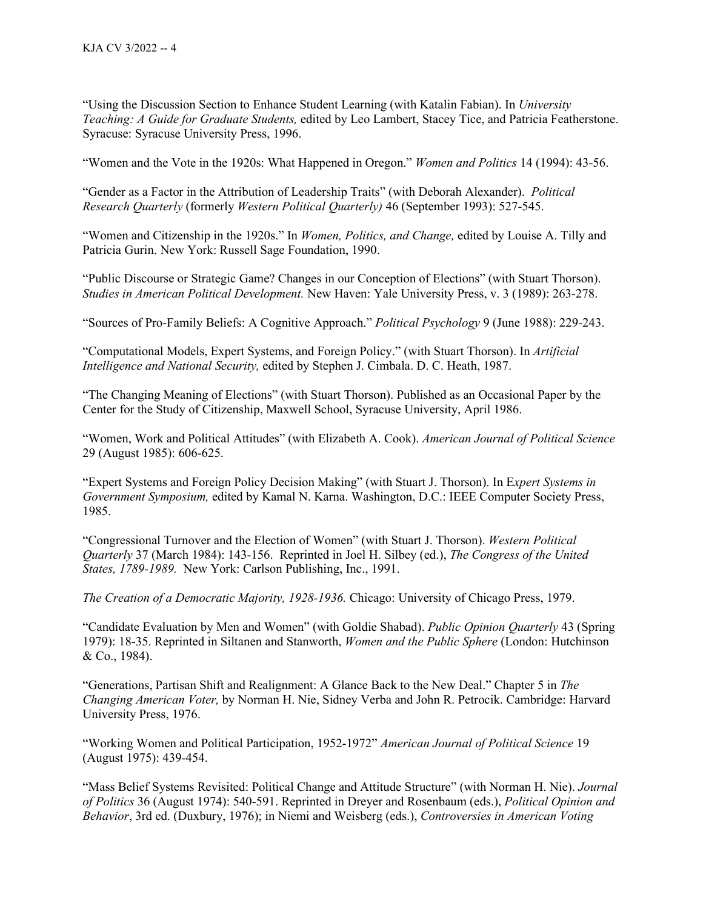"Using the Discussion Section to Enhance Student Learning (with Katalin Fabian). In *University Teaching: A Guide for Graduate Students,* edited by Leo Lambert, Stacey Tice, and Patricia Featherstone. Syracuse: Syracuse University Press, 1996.

"Women and the Vote in the 1920s: What Happened in Oregon." *Women and Politics* 14 (1994): 43-56.

"Gender as a Factor in the Attribution of Leadership Traits" (with Deborah Alexander). *Political Research Quarterly* (formerly *Western Political Quarterly)* 46 (September 1993): 527-545.

"Women and Citizenship in the 1920s." In *Women, Politics, and Change,* edited by Louise A. Tilly and Patricia Gurin. New York: Russell Sage Foundation, 1990.

"Public Discourse or Strategic Game? Changes in our Conception of Elections" (with Stuart Thorson). *Studies in American Political Development.* New Haven: Yale University Press, v. 3 (1989): 263-278.

"Sources of Pro-Family Beliefs: A Cognitive Approach." *Political Psychology* 9 (June 1988): 229-243.

"Computational Models, Expert Systems, and Foreign Policy." (with Stuart Thorson). In *Artificial Intelligence and National Security,* edited by Stephen J. Cimbala. D. C. Heath, 1987.

"The Changing Meaning of Elections" (with Stuart Thorson). Published as an Occasional Paper by the Center for the Study of Citizenship, Maxwell School, Syracuse University, April 1986.

"Women, Work and Political Attitudes" (with Elizabeth A. Cook). *American Journal of Political Science* 29 (August 1985): 606-625.

"Expert Systems and Foreign Policy Decision Making" (with Stuart J. Thorson). In E*xpert Systems in Government Symposium,* edited by Kamal N. Karna. Washington, D.C.: IEEE Computer Society Press, 1985.

"Congressional Turnover and the Election of Women" (with Stuart J. Thorson). *Western Political Quarterly* 37 (March 1984): 143-156. Reprinted in Joel H. Silbey (ed.), *The Congress of the United States, 1789-1989.* New York: Carlson Publishing, Inc., 1991.

*The Creation of a Democratic Majority, 1928-1936.* Chicago: University of Chicago Press, 1979.

"Candidate Evaluation by Men and Women" (with Goldie Shabad). *Public Opinion Quarterly* 43 (Spring 1979): 18-35. Reprinted in Siltanen and Stanworth, *Women and the Public Sphere* (London: Hutchinson & Co., 1984).

"Generations, Partisan Shift and Realignment: A Glance Back to the New Deal." Chapter 5 in *The Changing American Voter,* by Norman H. Nie, Sidney Verba and John R. Petrocik. Cambridge: Harvard University Press, 1976.

"Working Women and Political Participation, 1952-1972" *American Journal of Political Science* 19 (August 1975): 439-454.

"Mass Belief Systems Revisited: Political Change and Attitude Structure" (with Norman H. Nie). *Journal of Politics* 36 (August 1974): 540-591. Reprinted in Dreyer and Rosenbaum (eds.), *Political Opinion and Behavior*, 3rd ed. (Duxbury, 1976); in Niemi and Weisberg (eds.), *Controversies in American Voting*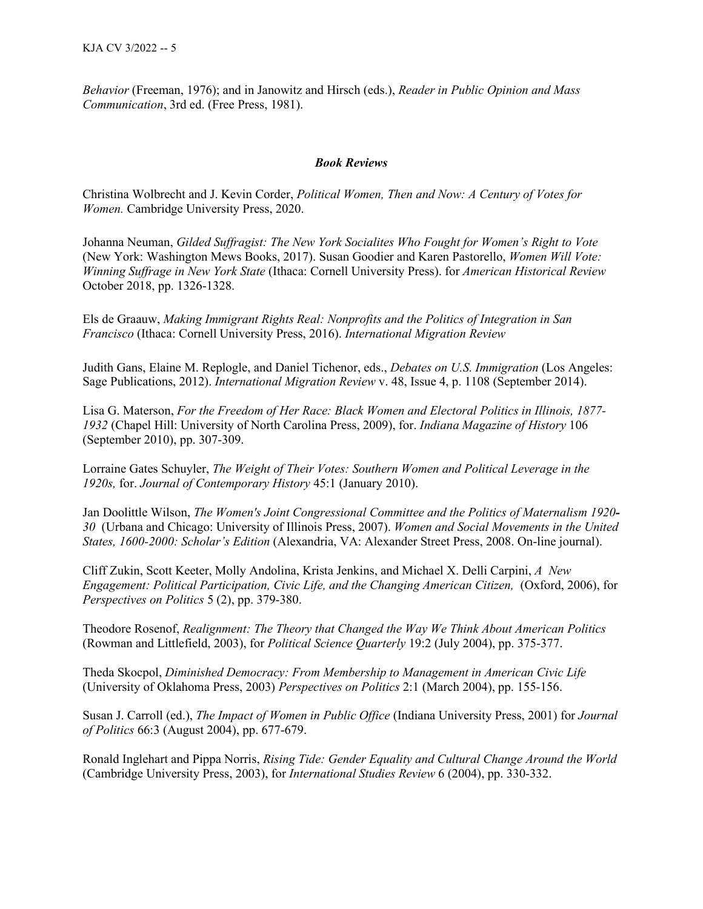*Behavior* (Freeman, 1976); and in Janowitz and Hirsch (eds.), *Reader in Public Opinion and Mass Communication*, 3rd ed. (Free Press, 1981).

#### *Book Reviews*

Christina Wolbrecht and J. Kevin Corder, *Political Women, Then and Now: A Century of Votes for Women.* Cambridge University Press, 2020.

Johanna Neuman, *Gilded Suffragist: The New York Socialites Who Fought for Women's Right to Vote*  (New York: Washington Mews Books, 2017). Susan Goodier and Karen Pastorello, *Women Will Vote: Winning Suffrage in New York State* (Ithaca: Cornell University Press). for *American Historical Review*  October 2018, pp. 1326-1328.

Els de Graauw, *Making Immigrant Rights Real: Nonprofits and the Politics of Integration in San Francisco* (Ithaca: Cornell University Press, 2016). *International Migration Review* 

Judith Gans, Elaine M. Replogle, and Daniel Tichenor, eds., *Debates on U.S. Immigration* (Los Angeles: Sage Publications, 2012). *International Migration Review* v. 48, Issue 4, p. 1108 (September 2014).

Lisa G. Materson, *For the Freedom of Her Race: Black Women and Electoral Politics in Illinois, 1877- 1932* (Chapel Hill: University of North Carolina Press, 2009), for. *Indiana Magazine of History* 106 (September 2010), pp. 307-309.

Lorraine Gates Schuyler, *The Weight of Their Votes: Southern Women and Political Leverage in the 1920s,* for. *Journal of Contemporary History* 45:1 (January 2010).

Jan Doolittle Wilson, *The Women's Joint Congressional Committee and the Politics of Maternalism 1920- 30* (Urbana and Chicago: University of Illinois Press, 2007). *Women and Social Movements in the United States, 1600-2000: Scholar's Edition* (Alexandria, VA: Alexander Street Press, 2008. On-line journal).

Cliff Zukin, Scott Keeter, Molly Andolina, Krista Jenkins, and Michael X. Delli Carpini, *A New Engagement: Political Participation, Civic Life, and the Changing American Citizen,* (Oxford, 2006), for *Perspectives on Politics* 5 (2), pp. 379-380.

Theodore Rosenof, *Realignment: The Theory that Changed the Way We Think About American Politics*  (Rowman and Littlefield, 2003), for *[Political Science Quarterly](http://www.ingentaconnect.com/content/taps/psq;jsessionid=6jf2ll8edp04.victoria)* 19:2 (July 2004), pp. 375-377.

Theda Skocpol, *Diminished Democracy: From Membership to Management in American Civic Life* (University of Oklahoma Press, 2003) *Perspectives on Politics* 2:1 (March 2004), pp. 155-156.

Susan J. Carroll (ed.), *The Impact of Women in Public Office* (Indiana University Press, 2001) for *Journal of Politics* 66:3 (August 2004), pp. 677-679.

Ronald Inglehart and Pippa Norris, *Rising Tide: Gender Equality and Cultural Change Around the World*  (Cambridge University Press, 2003), for *International Studies Review* 6 (2004), pp. 330-332.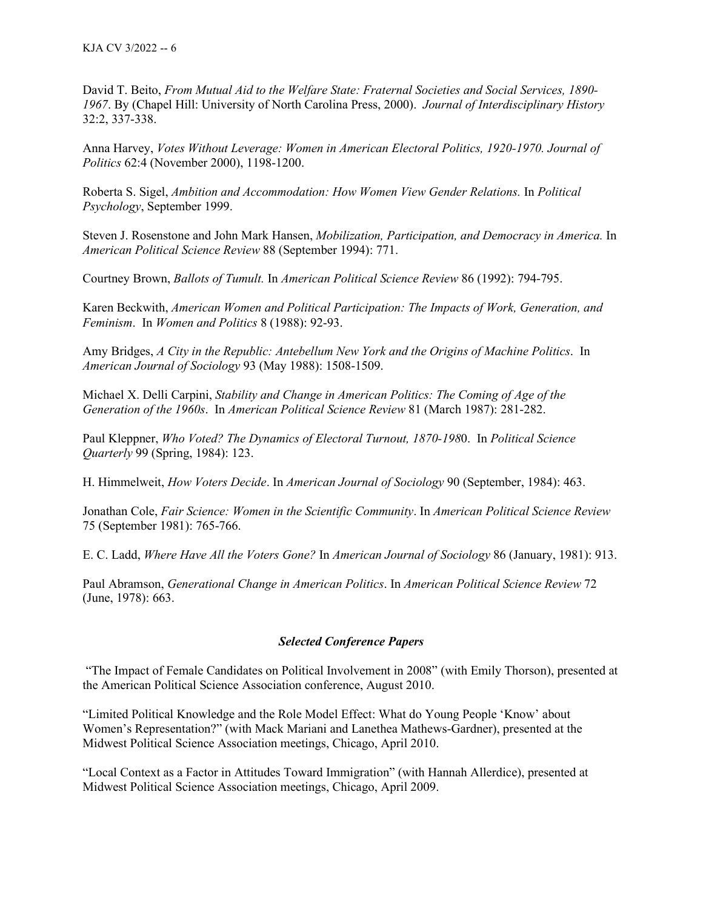David T. Beito, *From Mutual Aid to the Welfare State: Fraternal Societies and Social Services, 1890- 1967*. By (Chapel Hill: University of North Carolina Press, 2000). *Journal of Interdisciplinary History*  32:2, 337-338.

Anna Harvey, *Votes Without Leverage: Women in American Electoral Politics, 1920-1970. Journal of Politics* 62:4 (November 2000), 1198-1200.

Roberta S. Sigel, *Ambition and Accommodation: How Women View Gender Relations.* In *Political Psychology*, September 1999.

Steven J. Rosenstone and John Mark Hansen, *Mobilization, Participation, and Democracy in America.* In *American Political Science Review* 88 (September 1994): 771.

Courtney Brown, *Ballots of Tumult.* In *American Political Science Review* 86 (1992): 794-795.

Karen Beckwith, *American Women and Political Participation: The Impacts of Work, Generation, and Feminism*. In *Women and Politics* 8 (1988): 92-93.

Amy Bridges, *A City in the Republic: Antebellum New York and the Origins of Machine Politics*. In *American Journal of Sociology* 93 (May 1988): 1508-1509.

Michael X. Delli Carpini, *Stability and Change in American Politics: The Coming of Age of the Generation of the 1960s*. In *American Political Science Review* 81 (March 1987): 281-282.

Paul Kleppner, *Who Voted? The Dynamics of Electoral Turnout, 1870-198*0. In *Political Science Quarterly* 99 (Spring, 1984): 123.

H. Himmelweit, *How Voters Decide*. In *American Journal of Sociology* 90 (September, 1984): 463.

Jonathan Cole, *Fair Science: Women in the Scientific Community*. In *American Political Science Review* 75 (September 1981): 765-766.

E. C. Ladd, *Where Have All the Voters Gone?* In *American Journal of Sociology* 86 (January, 1981): 913.

Paul Abramson, *Generational Change in American Politics*. In *American Political Science Review* 72 (June, 1978): 663.

# *Selected Conference Papers*

"The Impact of Female Candidates on Political Involvement in 2008" (with Emily Thorson), presented at the American Political Science Association conference, August 2010.

"Limited Political Knowledge and the Role Model Effect: What do Young People 'Know' about Women's Representation?" (with Mack Mariani and Lanethea Mathews-Gardner), presented at the Midwest Political Science Association meetings, Chicago, April 2010.

"Local Context as a Factor in Attitudes Toward Immigration" (with Hannah Allerdice), presented at Midwest Political Science Association meetings, Chicago, April 2009.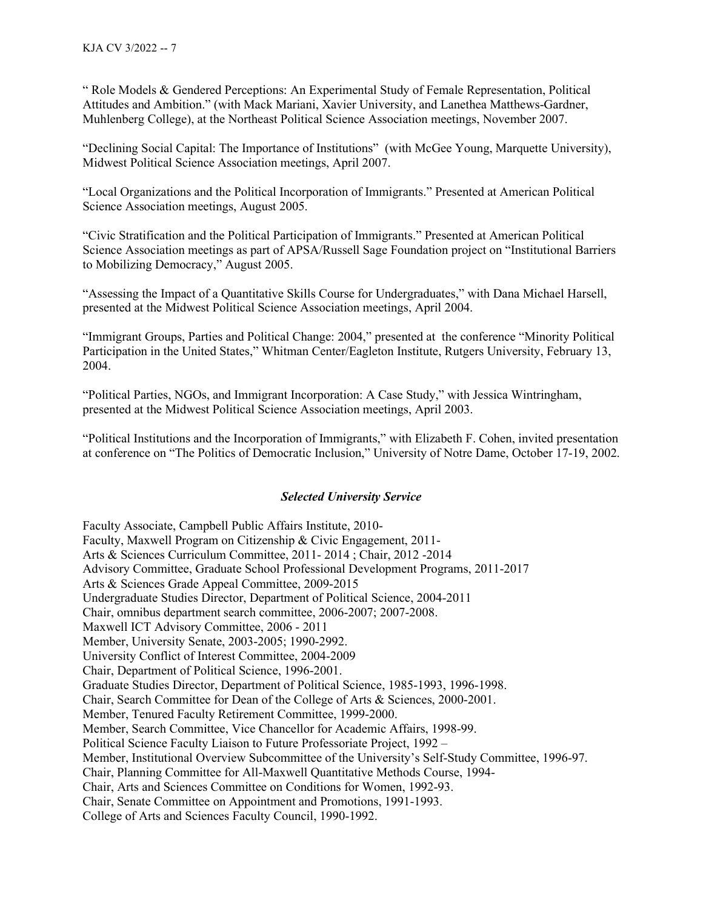" Role Models & Gendered Perceptions: An Experimental Study of Female Representation, Political Attitudes and Ambition." (with Mack Mariani, Xavier University, and Lanethea Matthews-Gardner, Muhlenberg College), at the Northeast Political Science Association meetings, November 2007.

"Declining Social Capital: The Importance of Institutions" (with McGee Young, Marquette University), Midwest Political Science Association meetings, April 2007.

"Local Organizations and the Political Incorporation of Immigrants." Presented at American Political Science Association meetings, August 2005.

"Civic Stratification and the Political Participation of Immigrants." Presented at American Political Science Association meetings as part of APSA/Russell Sage Foundation project on "Institutional Barriers to Mobilizing Democracy," August 2005.

"Assessing the Impact of a Quantitative Skills Course for Undergraduates," with Dana Michael Harsell, presented at the Midwest Political Science Association meetings, April 2004.

"Immigrant Groups, Parties and Political Change: 2004," presented at the conference "Minority Political Participation in the United States," Whitman Center/Eagleton Institute, Rutgers University, February 13, 2004.

"Political Parties, NGOs, and Immigrant Incorporation: A Case Study," with Jessica Wintringham, presented at the Midwest Political Science Association meetings, April 2003.

"Political Institutions and the Incorporation of Immigrants," with Elizabeth F. Cohen, invited presentation at conference on "The Politics of Democratic Inclusion," University of Notre Dame, October 17-19, 2002.

### *Selected University Service*

Faculty Associate, Campbell Public Affairs Institute, 2010- Faculty, Maxwell Program on Citizenship & Civic Engagement, 2011- Arts & Sciences Curriculum Committee, 2011- 2014 ; Chair, 2012 -2014 Advisory Committee, Graduate School Professional Development Programs, 2011-2017 Arts & Sciences Grade Appeal Committee, 2009-2015 Undergraduate Studies Director, Department of Political Science, 2004-2011 Chair, omnibus department search committee, 2006-2007; 2007-2008. Maxwell ICT Advisory Committee, 2006 - 2011 Member, University Senate, 2003-2005; 1990-2992. University Conflict of Interest Committee, 2004-2009 Chair, Department of Political Science, 1996-2001. Graduate Studies Director, Department of Political Science, 1985-1993, 1996-1998. Chair, Search Committee for Dean of the College of Arts & Sciences, 2000-2001. Member, Tenured Faculty Retirement Committee, 1999-2000. Member, Search Committee, Vice Chancellor for Academic Affairs, 1998-99. Political Science Faculty Liaison to Future Professoriate Project, 1992 – Member, Institutional Overview Subcommittee of the University's Self-Study Committee, 1996-97. Chair, Planning Committee for All-Maxwell Quantitative Methods Course, 1994- Chair, Arts and Sciences Committee on Conditions for Women, 1992-93. Chair, Senate Committee on Appointment and Promotions, 1991-1993. College of Arts and Sciences Faculty Council, 1990-1992.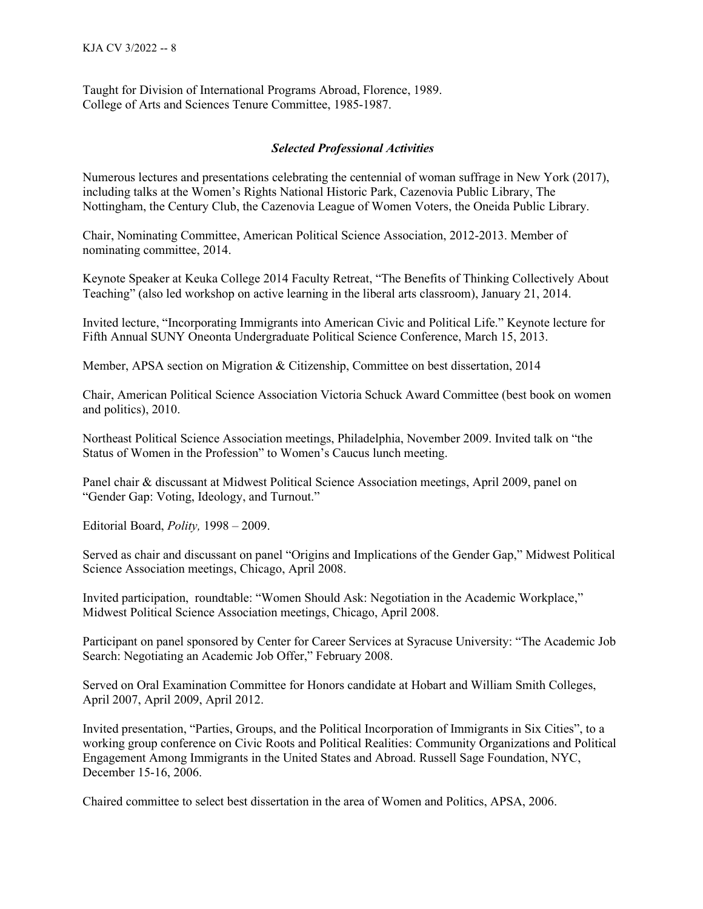Taught for Division of International Programs Abroad, Florence, 1989. College of Arts and Sciences Tenure Committee, 1985-1987.

## *Selected Professional Activities*

Numerous lectures and presentations celebrating the centennial of woman suffrage in New York (2017), including talks at the Women's Rights National Historic Park, Cazenovia Public Library, The Nottingham, the Century Club, the Cazenovia League of Women Voters, the Oneida Public Library.

Chair, Nominating Committee, American Political Science Association, 2012-2013. Member of nominating committee, 2014.

Keynote Speaker at Keuka College 2014 Faculty Retreat, "The Benefits of Thinking Collectively About Teaching" (also led workshop on active learning in the liberal arts classroom), January 21, 2014.

Invited lecture, "Incorporating Immigrants into American Civic and Political Life." Keynote lecture for Fifth Annual SUNY Oneonta Undergraduate Political Science Conference, March 15, 2013.

Member, APSA section on Migration & Citizenship, Committee on best dissertation, 2014

Chair, American Political Science Association Victoria Schuck Award Committee (best book on women and politics), 2010.

Northeast Political Science Association meetings, Philadelphia, November 2009. Invited talk on "the Status of Women in the Profession" to Women's Caucus lunch meeting.

Panel chair & discussant at Midwest Political Science Association meetings, April 2009, panel on "Gender Gap: Voting, Ideology, and Turnout."

Editorial Board, *Polity,* 1998 – 2009.

Served as chair and discussant on panel "Origins and Implications of the Gender Gap," Midwest Political Science Association meetings, Chicago, April 2008.

Invited participation, roundtable: "Women Should Ask: Negotiation in the Academic Workplace," Midwest Political Science Association meetings, Chicago, April 2008.

Participant on panel sponsored by Center for Career Services at Syracuse University: "The Academic Job Search: Negotiating an Academic Job Offer," February 2008.

Served on Oral Examination Committee for Honors candidate at Hobart and William Smith Colleges, April 2007, April 2009, April 2012.

Invited presentation, "Parties, Groups, and the Political Incorporation of Immigrants in Six Cities", to a working group conference on Civic Roots and Political Realities: Community Organizations and Political Engagement Among Immigrants in the United States and Abroad. Russell Sage Foundation, NYC, December 15-16, 2006.

Chaired committee to select best dissertation in the area of Women and Politics, APSA, 2006.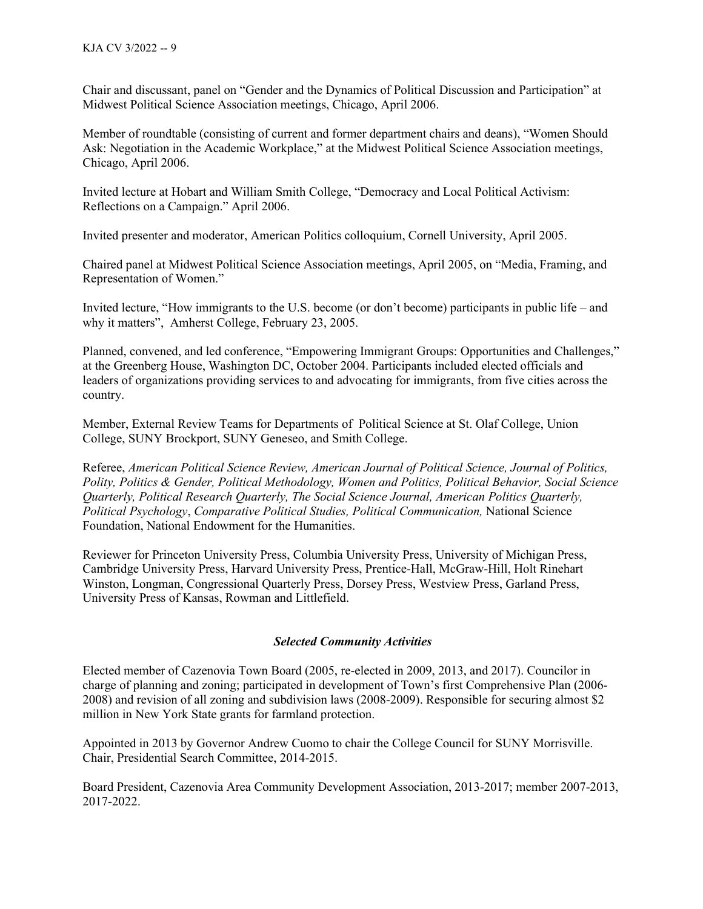Chair and discussant, panel on "Gender and the Dynamics of Political Discussion and Participation" at Midwest Political Science Association meetings, Chicago, April 2006.

Member of roundtable (consisting of current and former department chairs and deans), "Women Should Ask: Negotiation in the Academic Workplace," at the Midwest Political Science Association meetings, Chicago, April 2006.

Invited lecture at Hobart and William Smith College, "Democracy and Local Political Activism: Reflections on a Campaign." April 2006.

Invited presenter and moderator, American Politics colloquium, Cornell University, April 2005.

Chaired panel at Midwest Political Science Association meetings, April 2005, on "Media, Framing, and Representation of Women."

Invited lecture, "How immigrants to the U.S. become (or don't become) participants in public life – and why it matters", Amherst College, February 23, 2005.

Planned, convened, and led conference, "Empowering Immigrant Groups: Opportunities and Challenges," at the Greenberg House, Washington DC, October 2004. Participants included elected officials and leaders of organizations providing services to and advocating for immigrants, from five cities across the country.

Member, External Review Teams for Departments of Political Science at St. Olaf College, Union College, SUNY Brockport, SUNY Geneseo, and Smith College.

Referee, *American Political Science Review, American Journal of Political Science, Journal of Politics, Polity, Politics & Gender, Political Methodology, Women and Politics, Political Behavior, Social Science Quarterly, Political Research Quarterly, The Social Science Journal, American Politics Quarterly, Political Psychology*, *Comparative Political Studies, Political Communication,* National Science Foundation, National Endowment for the Humanities.

Reviewer for Princeton University Press, Columbia University Press, University of Michigan Press, Cambridge University Press, Harvard University Press, Prentice-Hall, McGraw-Hill, Holt Rinehart Winston, Longman, Congressional Quarterly Press, Dorsey Press, Westview Press, Garland Press, University Press of Kansas, Rowman and Littlefield.

# *Selected Community Activities*

Elected member of Cazenovia Town Board (2005, re-elected in 2009, 2013, and 2017). Councilor in charge of planning and zoning; participated in development of Town's first Comprehensive Plan (2006- 2008) and revision of all zoning and subdivision laws (2008-2009). Responsible for securing almost \$2 million in New York State grants for farmland protection.

Appointed in 2013 by Governor Andrew Cuomo to chair the College Council for SUNY Morrisville. Chair, Presidential Search Committee, 2014-2015.

Board President, Cazenovia Area Community Development Association, 2013-2017; member 2007-2013, 2017-2022.